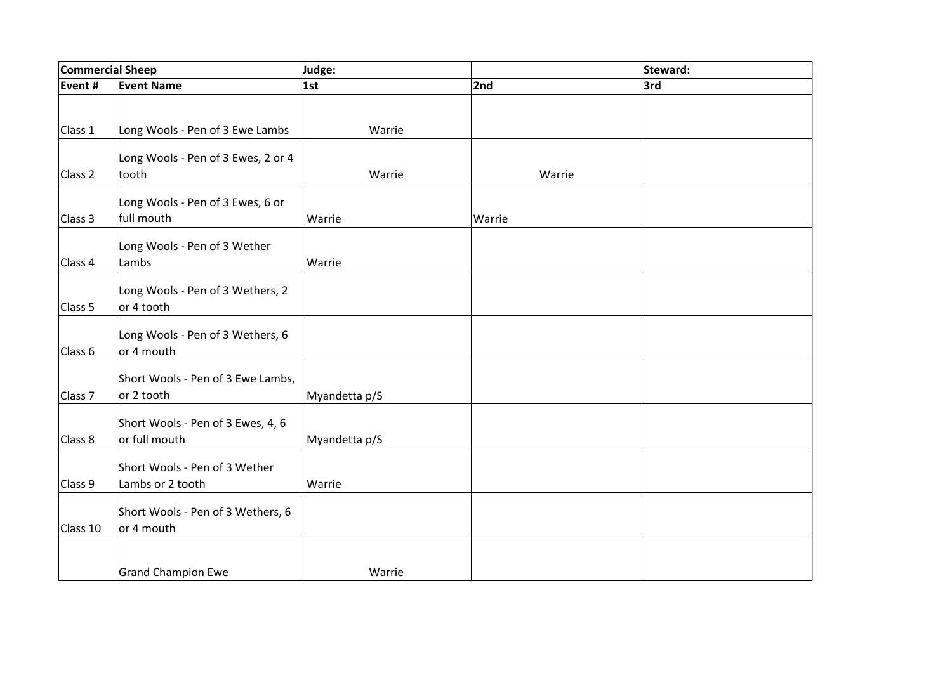| Commercial Sheep   |                                    | Judge:        |        | Steward: |
|--------------------|------------------------------------|---------------|--------|----------|
| Event #            | <b>Event Name</b>                  | 1st           | 2nd    | 3rd      |
|                    |                                    |               |        |          |
|                    |                                    |               |        |          |
| Class 1            | Long Wools - Pen of 3 Ewe Lambs    | Warrie        |        |          |
|                    | Long Wools - Pen of 3 Ewes, 2 or 4 |               |        |          |
| Class 2            | tooth                              | Warrie        | Warrie |          |
|                    |                                    |               |        |          |
|                    | Long Wools - Pen of 3 Ewes, 6 or   |               |        |          |
| Class 3            | full mouth                         | Warrie        | Warrie |          |
|                    | Long Wools - Pen of 3 Wether       |               |        |          |
| Class 4            | Lambs                              | Warrie        |        |          |
|                    |                                    |               |        |          |
|                    | Long Wools - Pen of 3 Wethers, 2   |               |        |          |
| Class 5            | or 4 tooth                         |               |        |          |
|                    |                                    |               |        |          |
|                    | Long Wools - Pen of 3 Wethers, 6   |               |        |          |
| Class 6            | or 4 mouth                         |               |        |          |
|                    | Short Wools - Pen of 3 Ewe Lambs,  |               |        |          |
| Class <sub>7</sub> | or 2 tooth                         | Myandetta p/S |        |          |
|                    |                                    |               |        |          |
|                    | Short Wools - Pen of 3 Ewes, 4, 6  |               |        |          |
| Class 8            | or full mouth                      | Myandetta p/S |        |          |
|                    | Short Wools - Pen of 3 Wether      |               |        |          |
| Class 9            | Lambs or 2 tooth                   | Warrie        |        |          |
|                    |                                    |               |        |          |
|                    | Short Wools - Pen of 3 Wethers, 6  |               |        |          |
| Class 10           | or 4 mouth                         |               |        |          |
|                    |                                    |               |        |          |
|                    |                                    |               |        |          |
|                    | <b>Grand Champion Ewe</b>          | Warrie        |        |          |